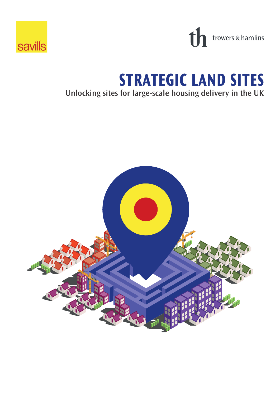



# **STRATEGIC LAND SITES**

**Unlocking sites for large-scale housing delivery in the UK**

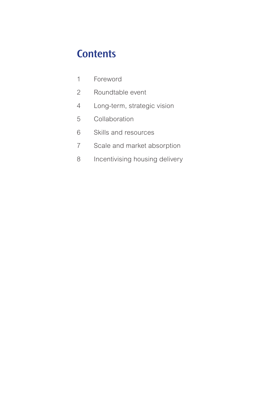# **Contents**

- 1 Foreword
- 2 Roundtable event
- 4 Long-term, strategic vision
- 5 Collaboration
- 6 Skills and resources
- 7 Scale and market absorption
- 8 Incentivising housing delivery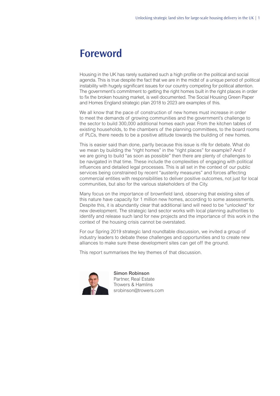#### **Foreword**

Housing in the UK has rarely sustained such a high profile on the political and social agenda. This is true despite the fact that we are in the midst of a unique period of political instability with hugely significant issues for our country competing for political attention. The government's commitment to getting the right homes built in the right places in order to fix the broken housing market, is well documented. The Social Housing Green Paper and Homes England strategic plan 2018 to 2023 are examples of this.

We all know that the pace of construction of new homes must increase in order to meet the demands of growing communities and the government's challenge to the sector to build 300,000 additional homes each year. From the kitchen tables of existing households, to the chambers of the planning committees, to the board rooms of PLCs, there needs to be a positive attitude towards the building of new homes.

This is easier said than done, partly because this issue is rife for debate. What do we mean by building the "right homes" in the "right places" for example? And if we are going to build "as soon as possible" then there are plenty of challenges to be navigated in that time. These include the complexities of engaging with political influences and detailed legal processes. This is all set in the context of our public services being constrained by recent "austerity measures" and forces affecting commercial entities with responsibilities to deliver positive outcomes, not just for local communities, but also for the various stakeholders of the City.

Many focus on the importance of brownfield land, observing that existing sites of this nature have capacity for 1 million new homes, according to some assessments. Despite this, it is abundantly clear that additional land will need to be "unlocked" for new development. The strategic land sector works with local planning authorities to identify and release such land for new projects and the importance of this work in the context of the housing crisis cannot be overstated.

For our Spring 2019 strategic land roundtable discussion, we invited a group of industry leaders to debate these challenges and opportunities and to create new alliances to make sure these development sites can get off the ground.

This report summarises the key themes of that discussion.



Simon Robinson Partner, Real Estate Trowers & Hamlins srobinson@trowers.com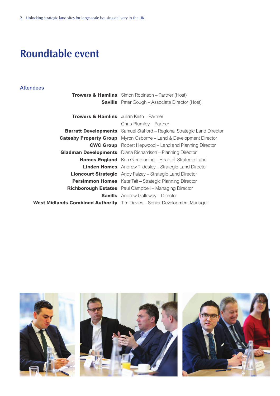# **Roundtable event**

#### Attendees

|                                                     | <b>Trowers &amp; Hamlins</b> Simon Robinson – Partner (Host)                   |
|-----------------------------------------------------|--------------------------------------------------------------------------------|
|                                                     | <b>Savills</b> Peter Gough – Associate Director (Host)                         |
|                                                     |                                                                                |
| <b>Trowers &amp; Hamlins</b> Julian Keith – Partner |                                                                                |
|                                                     | Chris Plumley – Partner                                                        |
|                                                     | <b>Barratt Developments</b> Samuel Stafford – Regional Strategic Land Director |
|                                                     | <b>Catesby Property Group</b> Myron Osborne – Land & Development Director      |
|                                                     | <b>CWC Group</b> Robert Hepwood – Land and Planning Director                   |
|                                                     | <b>Gladman Developments</b> Diana Richardson – Planning Director               |
|                                                     | <b>Homes England</b> Ken Glendinning – Head of Strategic Land                  |
|                                                     | <b>Linden Homes</b> Andrew Tildesley - Strategic Land Director                 |
|                                                     | <b>Lioncourt Strategic</b> Andy Faizey - Strategic Land Director               |
|                                                     | <b>Persimmon Homes</b> Kate Tait - Strategic Planning Director                 |
|                                                     | <b>Richborough Estates</b> Paul Campbell – Managing Director                   |
|                                                     | <b>Savills</b> Andrew Galloway - Director                                      |
|                                                     | West Midlands Combined Authority Tim Davies - Senior Development Manager       |
|                                                     |                                                                                |

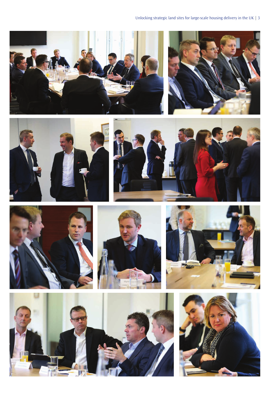













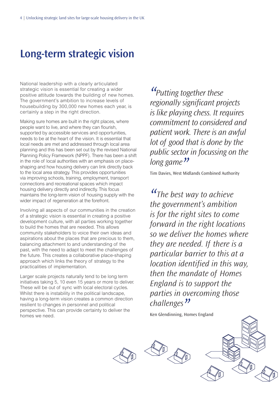# **Long-term strategic vision**

National leadership with a clearly articulated strategic vision is essential for creating a wider positive attitude towards the building of new homes. The government's ambition to increase levels of housebuilding by 300,000 new homes each year, is certainly a step in the right direction.

Making sure homes are built in the right places, where people want to live, and where they can flourish, supported by accessible services and opportunities, needs to be at the heart of the vision. It is essential that local needs are met and addressed through local area planning and this has been set out by the revised National Planning Policy Framework (NPPF). There has been a shift in the role of local authorities with an emphasis on placeshaping and how housing delivery can link directly back to the local area strategy. This provides opportunities via improving schools, training, employment, transport connections and recreational spaces which impact housing delivery directly and indirectly. This focus maintains the long-term vision of housing supply with the wider impact of regeneration at the forefront.

Involving all aspects of our communities in the creation of a strategic vision is essential in creating a positive development culture, with all parties working together to build the homes that are needed. This allows community stakeholders to voice their own ideas and aspirations about the places that are precious to them, balancing attachment to and understanding of the past, with the need to adapt to meet the challenges of the future. This creates a collaborative place-shaping approach which links the theory of strategy to the practicalities of implementation.

Larger scale projects naturally tend to be long term initiatives taking 5, 10 even 15 years or more to deliver. These will be out of sync with local electoral cycles. Whilst there is instability in the political landscape, having a long-term vision creates a common direction resilient to changes in personnel and political perspective. This can provide certainty to deliver the homes we need.

*"Putting together these regionally significant projects is like playing chess. It requires commitment to considered and patient work. There is an awful lot of good that is done by the public sector in focussing on the long game"*

Tim Davies, West Midlands Combined Authority

*"The best way to achieve the government's ambition is for the right sites to come forward in the right locations so we deliver the homes where they are needed. If there is a particular barrier to this at a location identified in this way, then the mandate of Homes England is to support the parties in overcoming those challenges"*

Ken Glendinning, Homes England



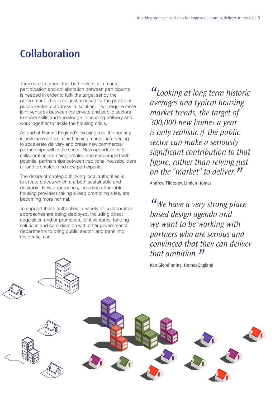## **Collaboration**

There is agreement that both diversity in market participation and collaboration between participants is needed in order to fulfil the target set by the government. This is not just an issue for the private or public sector to address in isolation. It will require more joint ventures between the private and public sectors to share skills and knowledge in housing delivery and work together to tackle the housing crisis.

As part of Homes England's evolving role, the agency is now more active in the housing market, intervening to accelerate delivery and create new commercial partnerships within the sector. New opportunities for collaboration are being created and encouraged with potential partnerships between traditional housebuilders or land promoters and new participants.

The desire of strategic thinking local authorities is to create places which are both sustainable and desirable. New approaches, including affordable housing providers taking a lead promoting sites, are becoming more normal.

To support these authorities, a variety of collaborative approaches are being deployed, including direct acquisition and/or promotion, joint ventures, funding solutions and co-ordination with other governmental departments to bring public sector land bank into residential use.

*"Looking at long term historic averages and typical housing market trends, the target of 300,000 new homes a year is only realistic if the public sector can make a seriously significant contribution to that figure, rather than relying just on the "market" to deliver."*

Andrew Tildesley, Linden Homes

*"We have a very strong place based design agenda and we want to be working with partners who are serious and convinced that they can deliver that ambition."*

Ken Glendinning, Homes England

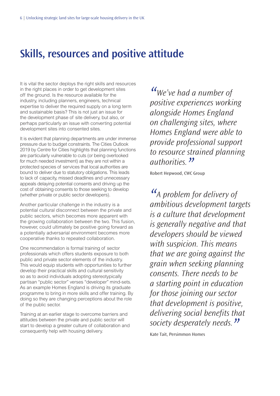#### **Skills, resources and positive attitude**

It is vital the sector deploys the right skills and resources in the right places in order to get development sites off the ground. Is the resource available for the industry, including planners, engineers, technical expertise to deliver the required supply on a long term and sustainable basis? This is not just an issue for the development phase of site delivery, but also, or perhaps particularly an issue with converting potential development sites into consented sites.

It is evident that planning departments are under immense pressure due to budget constraints. The Cities Outlook 2019 by Centre for Cities highlights that planning functions are particularly vulnerable to cuts (or being overlooked for much needed investment) as they are not within a protected species of services that local authorities are bound to deliver due to statutory obligations. This leads to lack of capacity, missed deadlines and unnecessary appeals delaying potential consents and driving up the cost of obtaining consents to those seeking to develop (whether private or public sector developers).

Another particular challenge in the industry is a potential cultural disconnect between the private and public sectors, which becomes more apparent with the growing collaboration between the two. This fusion, however, could ultimately be positive going forward as a potentially adversarial environment becomes more cooperative thanks to repeated collaboration.

One recommendation is formal training of sector professionals which offers students exposure to both public and private sector elements of the industry. This would equip students with opportunities to further develop their practical skills and cultural sensitivity so as to avoid individuals adopting stereotypically partisan "public sector" verses "developer" mind-sets. As an example Homes England is driving its graduate programme to bring in more skills and offer training. By doing so they are changing perceptions about the role of the public sector.

Training at an earlier stage to overcome barriers and attitudes between the private and public sector will start to develop a greater culture of collaboration and consequently help with housing delivery.

*"We've had a number of positive experiences working alongside Homes England on challenging sites, where Homes England were able to provide professional support to resource strained planning authorities."*

Robert Hepwood, CWC Group

*"A problem for delivery of ambitious development targets is a culture that development is generally negative and that developers should be viewed with suspicion. This means that we are going against the grain when seeking planning consents. There needs to be a starting point in education for those joining our sector that development is positive, delivering social benefits that society desperately needs."*

Kate Tait, Persimmon Homes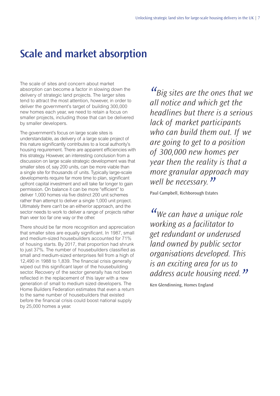## **Scale and market absorption**

The scale of sites and concern about market absorption can become a factor in slowing down the delivery of strategic land projects. The larger sites tend to attract the most attention, however, in order to deliver the government's target of building 300,000 new homes each year, we need to retain a focus on smaller projects, including those that can be delivered by smaller developers.

The government's focus on large scale sites is understandable, as delivery of a large scale project of this nature significantly contributes to a local authority's housing requirement. There are apparent efficiencies with this strategy. However, an interesting conclusion from a discussion on large scale strategic development was that smaller sites of, say 200 units, can be more viable than a single site for thousands of units. Typically large-scale developments require far more time to plan, significant upfront capital investment and will take far longer to gain permission. On balance it can be more "efficient" to deliver 1,000 homes via five distinct 200 unit schemes rather than attempt to deliver a single 1,000 unit project. Ultimately there can't be an either/or approach, and the sector needs to work to deliver a range of projects rather than veer too far one way or the other.

There should be far more recognition and appreciation that smaller sites are equally significant. In 1987, small and medium-sized housebuilders accounted for 71% of housing starts. By 2017, that proportion had shrunk to just 37%. The number of housebuilders classified as small and medium-sized enterprises fell from a high of 12,490 in 1988 to 1,839. The financial crisis generally wiped out this significant layer of the housebuilding sector. Recovery of the sector generally has not been reflected in the replacement of this layer with a new generation of small to medium sized developers. The Home Builders Federation estimates that even a return to the same number of housebuilders that existed before the financial crisis could boost national supply by 25,000 homes a year.

*"Big sites are the ones that we all notice and which get the headlines but there is a serious lack of market participants who can build them out. If we are going to get to a position of 300,000 new homes per year then the reality is that a more granular approach may well be necessary."*

Paul Campbell, Richborough Estates

*"We can have a unique role working as a facilitator to get redundant or underused land owned by public sector organisations developed. This is an exciting area for us to address acute housing need."*

Ken Glendinning, Homes England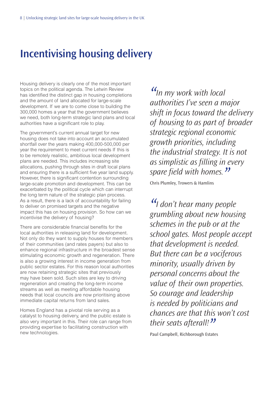# **Incentivising housing delivery**

Housing delivery is clearly one of the most important topics on the political agenda. The Letwin Review has identified the distinct gap in housing completions and the amount of land allocated for large-scale development. If we are to come close to building the 300,000 homes a year that the government believes we need, both long-term strategic land plans and local authorities have a significant role to play.

The government's current annual target for new housing does not take into account an accumulated shortfall over the years making 400,000-500,000 per year the requirement to meet current needs If this is to be remotely realistic, ambitious local development plans are needed. This includes increasing site allocations, pushing through sites in draft local plans and ensuring there is a sufficient five year land supply. However, there is significant contention surrounding large-scale promotion and development. This can be exacerbated by the political cycle which can interrupt the long term nature of the strategic plan process. As a result, there is a lack of accountability for failing to deliver on promised targets and the negative impact this has on housing provision. So how can we incentivise the delivery of housing?

There are considerable financial benefits for the local authorities in releasing land for development. Not only do they want to supply houses for members of their communities (and rates payers) but also to enhance regional infrastructure in the broadest sense stimulating economic growth and regeneration. There is also a growing interest in income generation from public sector estates. For this reason local authorities are now retaining strategic sites that previously may have been sold. Such sites are key to driving regeneration and creating the long-term income streams as well as meeting affordable housing needs that local councils are now prioritising above immediate capital returns from land sales.

Homes England has a pivotal role serving as a catalyst to housing delivery, and the public estate is also very important in this. Their role can range from providing expertise to facilitating construction with new technologies.

*"In my work with local authorities I've seen a major shift in focus toward the delivery of housing to as part of broader strategic regional economic growth priorities, including the industrial strategy. It is not as simplistic as filling in every spare field with homes."*

Chris Plumley, Trowers & Hamlins

*"I don't hear many people grumbling about new housing schemes in the pub or at the school gates. Most people accept that development is needed. But there can be a vociferous minority, usually driven by personal concerns about the value of their own properties. So courage and leadership is needed by politicians and chances are that this won't cost their seats afterall!"*

Paul Campbell, Richborough Estates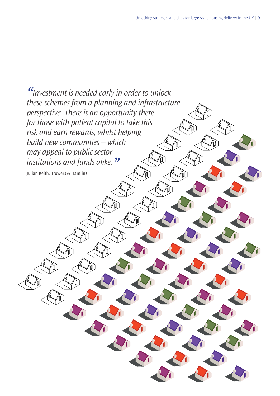